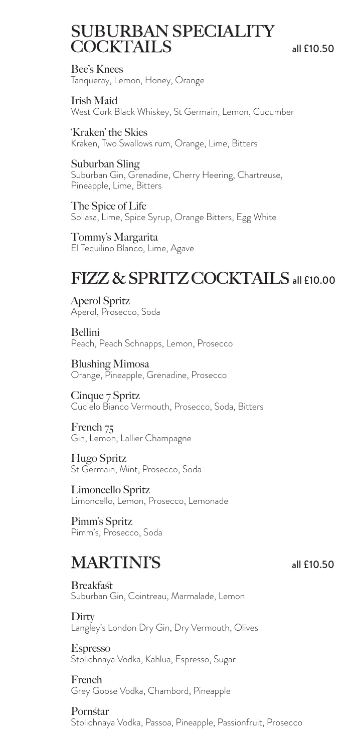### SUBURBAN SPECIALITY COCKTAILS all £10.50

Bee's Knees Tanqueray, Lemon, Honey, Orange

Irish Maid West Cork Black Whiskey, St Germain, Lemon, Cucumber

'Kraken' the Skies Kraken, Two Swallows rum, Orange, Lime, Bitters

Suburban Sling Suburban Gin, Grenadine, Cherry Heering, Chartreuse, Pineapple, Lime, Bitters

The Spice of Life Sollasa, Lime, Spice Syrup, Orange Bitters, Egg White

Tommy's Margarita El Tequilino Blanco, Lime, Agave

# FIZZ & SPRITZ COCKTAIL S all £10.00

Aperol Spritz Aperol, Prosecco, Soda

Bellini Peach, Peach Schnapps, Lemon, Prosecco

Blushing Mimosa Orange, Pineapple, Grenadine, Prosecco

Cinque 7 Spritz Cucielo Bianco Vermouth, Prosecco, Soda, Bitters

French 75 Gin, Lemon, Lallier Champagne

Hugo Spritz St Germain, Mint, Prosecco, Soda

Limoncello Spritz Limoncello, Lemon, Prosecco, Lemonade

Pimm's Spritz Pimm's, Prosecco, Soda

### MARTINI'S all £10.50

Breakfast Suburban Gin, Cointreau, Marmalade, Lemon

**Dirty** Langley's London Dry Gin, Dry Vermouth, Olives

Espresso Stolichnaya Vodka, Kahlua, Espresso, Sugar

French Grey Goose Vodka, Chambord, Pineapple

Pornstar Stolichnaya Vodka, Passoa, Pineapple, Passionfruit, Prosecco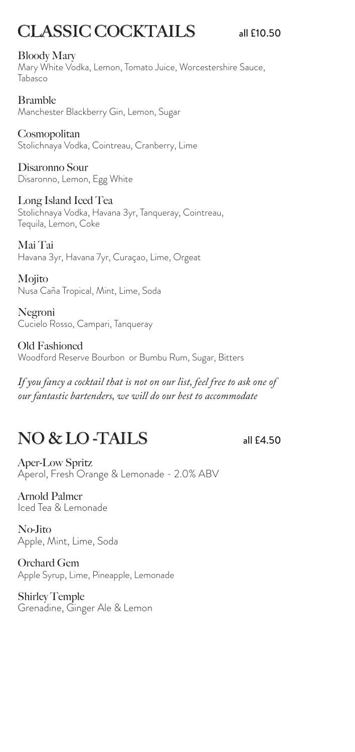# CLASSIC COCKTAILS all £10.50

#### Bloody Mary

Mary White Vodka, Lemon, Tomato Juice, Worcestershire Sauce, Tabasco

Bramble Manchester Blackberry Gin, Lemon, Sugar

Cosmopolitan Stolichnaya Vodka, Cointreau, Cranberry, Lime

Disaronno Sour Disaronno, Lemon, Egg White

Long Island Iced Tea Stolichnaya Vodka, Havana 3yr, Tanqueray, Cointreau, Tequila, Lemon, Coke

Mai Tai Havana 3yr, Havana 7yr, Curaçao, Lime, Orgeat

Mojito Nusa Caña Tropical, Mint, Lime, Soda

Negroni Cucielo Rosso, Campari, Tanqueray

Old Fashioned Woodford Reserve Bourbon or Bumbu Rum, Sugar, Bitters

*If you fancy a cocktail that is not on our list, feel free to ask one of our fantastic bartenders, we will do our best to accommodate*

# NO & LO -TAILS all £4.50

Aper-Low Spritz Aperol, Fresh Orange & Lemonade - 2.0% ABV

Arnold Palmer Iced Tea & Lemonade

No-Jito Apple, Mint, Lime, Soda

Orchard Gem Apple Syrup, Lime, Pineapple, Lemonade

Shirley Temple Grenadine, Ginger Ale & Lemon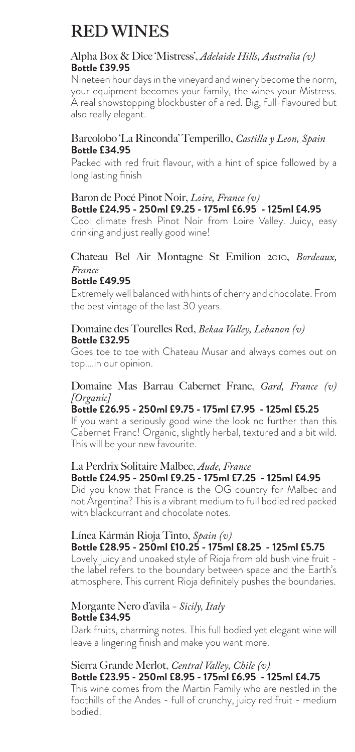# RED WINES

#### Alpha Box & Dice 'Mistress', *Adelaide Hills, Australia (v)* **Bottle £39.95**

Nineteen hour days in the vineyard and winery become the norm, your equipment becomes your family, the wines your Mistress. A real showstopping blockbuster of a red. Big, full-flavoured but also really elegant.

#### Barcolobo 'La Rinconda' Temperillo, *Castilla y Leon, Spain* **Bottle £34.95**

Packed with red fruit flavour, with a hint of spice followed by a long lasting finish

#### Baron de Pocé Pinot Noir, *Loire, France (v)* **Bottle £24.95 - 250ml £9.25 - 175ml £6.95 - 125ml £4.95**

Cool climate fresh Pinot Noir from Loire Valley. Juicy, easy drinking and just really good wine!

#### Chateau Bel Air Montagne St Emilion 2010, *Bordeaux, France*

#### **Bottle £49.95**

Extremely well balanced with hints of cherry and chocolate. From the best vintage of the last 30 years.

#### Domaine des Tourelles Red, *Bekaa Valley, Lebanon (v)* **Bottle £32.95**

Goes toe to toe with Chateau Musar and always comes out on top….in our opinion.

#### Domaine Mas Barrau Cabernet Franc, *Gard, France (v) [Organic]*

#### **Bottle £26.95 - 250ml £9.75 - 175ml £7.95 - 125ml £5.25**

If you want a seriously good wine the look no further than this Cabernet Franc! Organic, slightly herbal, textured and a bit wild. This will be your new favourite.

#### La Perdrix Solitaire Malbec, *Aude, France* **Bottle £24.95 - 250ml £9.25 - 175ml £7.25 - 125ml £4.95**

Did you know that France is the OG country for Malbec and not Argentina? This is a vibrant medium to full bodied red packed with blackcurrant and chocolate notes.

#### Línea Kármán Rioja Tinto, *Spain (v)* **Bottle £28.95 - 250ml £10.25 - 175ml £8.25 - 125ml £5.75**

Lovely juicy and unoaked style of Rioja from old bush vine fruit the label refers to the boundary between space and the Earth's atmosphere. This current Rioja definitely pushes the boundaries.

#### Morgante Nero d'avila *- Sicily, Italy* **Bottle £34.95**

Dark fruits, charming notes. This full bodied yet elegant wine will leave a lingering finish and make you want more.

#### Sierra Grande Merlot, *Central Valley, Chile (v)* **Bottle £23.95 - 250ml £8.95 - 175ml £6.95 - 125ml £4.75**

This wine comes from the Martin Family who are nestled in the foothills of the Andes - full of crunchy, juicy red fruit - medium bodied.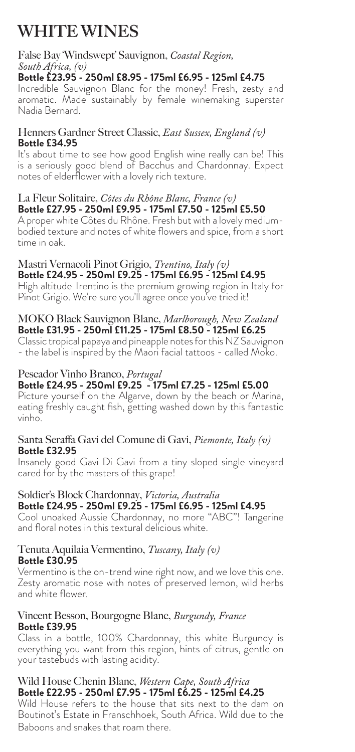# WHITE WINES

#### False Bay 'Windswept' Sauvignon, *Coastal Region, South Africa, (v)*

**Bottle £23.95 - 250ml £8.95 - 175ml £6.95 - 125ml £4.75**

Incredible Sauvignon Blanc for the money! Fresh, zesty and aromatic. Made sustainably by female winemaking superstar Nadia Bernard.

#### Henners Gardner Street Classic, *East Sussex, England (v)* **Bottle £34.95**

It's about time to see how good English wine really can be! This is a seriously good blend of Bacchus and Chardonnay. Expect notes of elderflower with a lovely rich texture.

#### La Fleur Solitaire, *Côtes du Rhône Blanc, France (v)* **Bottle £27.95 - 250ml £9.95 - 175ml £7.50 - 125ml £5.50**

A proper white Côtes du Rhône. Fresh but with a lovely mediumbodied texture and notes of white flowers and spice, from a short time in oak.

#### Mastri Vernacoli Pinot Grigio, *Trentino, Italy (v)* **Bottle £24.95 - 250ml £9.25 - 175ml £6.95 - 125ml £4.95**

High altitude Trentino is the premium growing region in Italy for Pinot Grigio. We're sure you'll agree once you've tried it!

#### MOKO Black Sauvignon Blanc, *Marlborough, New Zealand* **Bottle £31.95 - 250ml £11.25 - 175ml £8.50 - 125ml £6.25**

Classic tropical papaya and pineapple notes for this NZ Sauvignon - the label is inspired by the Maori facial tattoos - called Moko.

#### Pescador Vinho Branco, *Portugal* **Bottle £24.95 - 250ml £9.25 - 175ml £7.25 - 125ml £5.00**

Picture yourself on the Algarve, down by the beach or Marina, eating freshly caught fish, getting washed down by this fantastic vinho.

#### Santa Seraffa Gavi del Comune di Gavi, *Piemonte, Italy (v)* **Bottle £32.95**

Insanely good Gavi Di Gavi from a tiny sloped single vineyard cared for by the masters of this grape!

#### Soldier's Block Chardonnay, *Victoria, Australia* **Bottle £24.95 - 250ml £9.25 - 175ml £6.95 - 125ml £4.95**

Cool unoaked Aussie Chardonnay, no more "ABC"! Tangerine and floral notes in this textural delicious white.

#### Tenuta Aquilaia Vermentino, *Tuscany, Italy (v)* **Bottle £30.95**

Vermentino is the on-trend wine right now, and we love this one. Zesty aromatic nose with notes of preserved lemon, wild herbs and white flower.

#### Vincent Besson, Bourgogne Blanc, *Burgundy, France* **Bottle £39.95**

Class in a bottle, 100% Chardonnay, this white Burgundy is everything you want from this region, hints of citrus, gentle on your tastebuds with lasting acidity.

#### Wild House Chenin Blanc, *Western Cape, South Africa* **Bottle £22.95 - 250ml £7.95 - 175ml £6.25 - 125ml £4.25**

Wild House refers to the house that sits next to the dam on Boutinot's Estate in Franschhoek, South Africa. Wild due to the Baboons and snakes that roam there.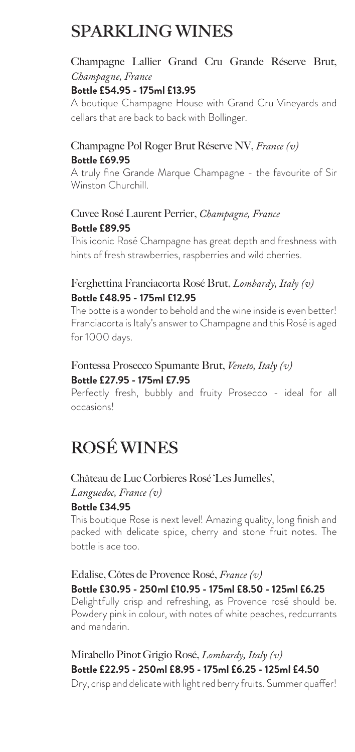# SPARKLING WINES

### Champagne Lallier Grand Cru Grande Réserve Brut, *Champagne, France*

#### **Bottle £54.95 - 175ml £13.95**

A boutique Champagne House with Grand Cru Vineyards and cellars that are back to back with Bollinger.

#### Champagne Pol Roger Brut Réserve NV, *France (v)* **Bottle £69.95**

A truly fine Grande Marque Champagne - the favourite of Sir Winston Churchill.

#### Cuvee Rosé Laurent Perrier, *Champagne, France* **Bottle £89.95**

This iconic Rosé Champagne has great depth and freshness with hints of fresh strawberries, raspberries and wild cherries.

#### Ferghettina Franciacorta Rosé Brut, *Lombardy, Italy (v)* **Bottle £48.95 - 175ml £12.95**

The botte is a wonder to behold and the wine inside is even better! Franciacorta is Italy's answer to Champagne and this Rosé is aged for 1000 days.

#### Fontessa Prosecco Spumante Brut, *Veneto, Italy (v)* **Bottle £27.95 - 175ml £7.95**

Perfectly fresh, bubbly and fruity Prosecco - ideal for all occasions!

### ROSÉ WINES

### Château de Luc Corbieres Rosé 'Les Jumelles',

#### *Languedoc, France (v)* **Bottle £34.95**

This boutique Rose is next level! Amazing quality, long finish and packed with delicate spice, cherry and stone fruit notes. The bottle is ace too.

#### Edalise, Côtes de Provence Rosé, *France (v)* **Bottle £30.95 - 250ml £10.95 - 175ml £8.50 - 125ml £6.25**

Delightfully crisp and refreshing, as Provence rosé should be. Powdery pink in colour, with notes of white peaches, redcurrants and mandarin.

### Mirabello Pinot Grigio Rosé, *Lombardy, Italy (v)* **Bottle £22.95 - 250ml £8.95 - 175ml £6.25 - 125ml £4.50**

Dry, crisp and delicate with light red berry fruits. Summer quaffer!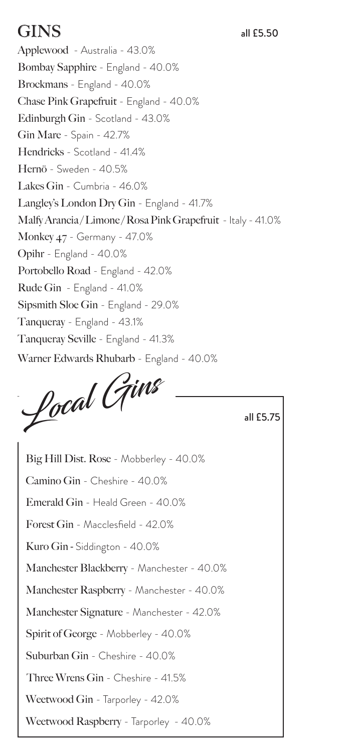# $\text{GINS}$  all £5.50

Applewood - Australia - 43.0% Bombay Sapphire - England - 40.0% Brockmans - England - 40.0% Chase Pink Grapefruit - England - 40.0% Edinburgh Gin - Scotland - 43.0% Gin Mare - Spain - 42.7% Hendricks - Scotland - 41.4% Hernö - Sweden - 40.5% Lakes Gin - Cumbria - 46.0% Langley's London Dry Gin - England - 41.7% Malfy Arancia/Limone/Rosa Pink Grapefruit - Italy - 41.0% Monkey 47 - Germany - 47.0% Opihr - England - 40.0% Portobello Road - England - 42.0% Rude Gin - England - 41.0% Sipsmith Sloe Gin - England - 29.0% Tanqueray - England - 43.1% Tanqueray Seville - England - 41.3% Warner Edwards Rhubarb - England - 40.0%

Local Gins

all £5.75

Big Hill Dist. Rose - Mobberley - 40.0% Camino Gin - Cheshire - 40.0% Emerald Gin - Heald Green - 40.0% Forest Gin - Macclesfield - 42.0% Kuro Gin - Siddington - 40.0% Manchester Blackberry - Manchester - 40.0% Manchester Raspberry - Manchester - 40.0% Manchester Signature - Manchester - 42.0% Spirit of George - Mobberley - 40.0% Suburban Gin - Cheshire - 40.0% Three Wrens Gin - Cheshire - 41.5% Weetwood Gin - Tarporley - 42.0% Weetwood Raspberry - Tarporley - 40.0%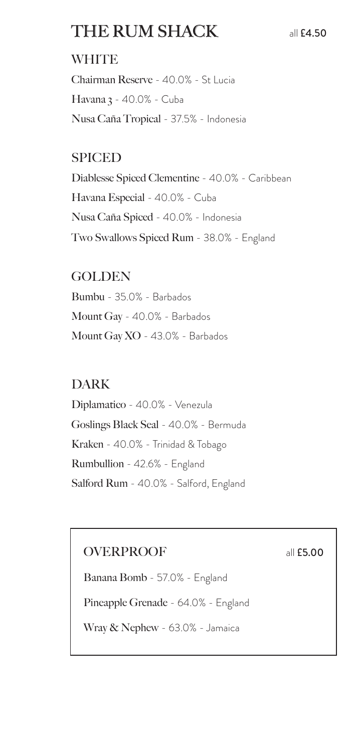# THE RUM SHACK all £4.50

### **WHITE**

Chairman Reserve - 40.0% - St Lucia Havana 3 - 40.0% - Cuba Nusa Caña Tropical - 37.5% - Indonesia

### SPICED

Diablesse Spiced Clementine - 40.0% - Caribbean Havana Especial - 40.0% - Cuba Nusa Caña Spiced - 40.0% - Indonesia Two Swallows Spiced Rum - 38.0% - England

### GOLDEN

Bumbu - 35.0% - Barbados Mount Gay - 40.0% - Barbados Mount Gay XO - 43.0% - Barbados

### DARK

Diplamatico - 40.0% - Venezula Goslings Black Seal - 40.0% - Bermuda Kraken - 40.0% - Trinidad & Tobago Rumbullion - 42.6% - England Salford Rum - 40.0% - Salford, England

### OVERPROOF all **£5.00**

Banana Bomb - 57.0% - England

Pineapple Grenade - 64.0% - England

Wray & Nephew - 63.0% - Jamaica